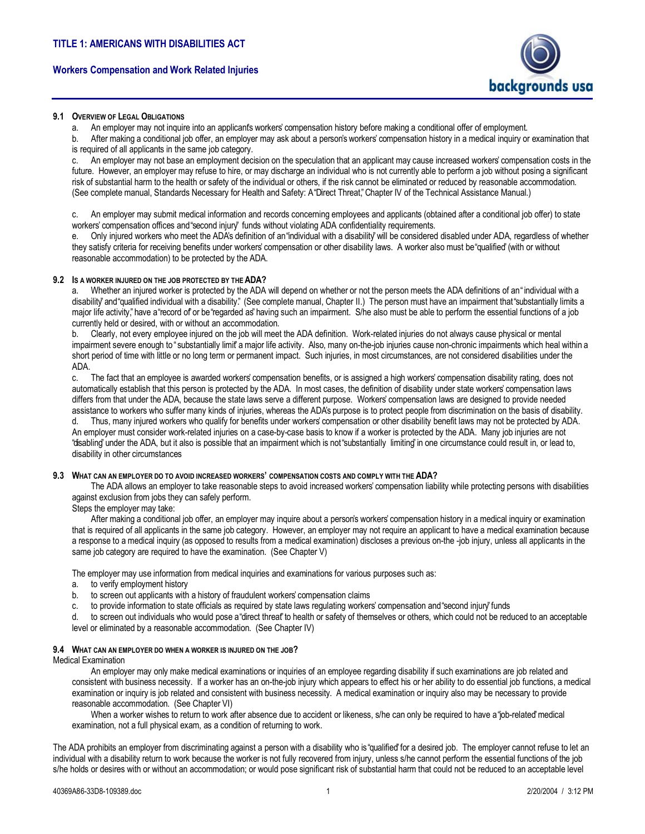# **Workers Compensation and Work Related Injuries**



# **9.1 OVERVIEW OF LEGAL OBLIGATIONS**

a. An employer may not inquire into an applicants workers' compensation history before making a conditional offer of employment.

b. After making a conditional job offer, an employer may ask about a personís workersí compensation history in a medical inquiry or examination that is required of all applicants in the same job category.

c. An employer may not base an employment decision on the speculation that an applicant may cause increased workersí compensation costs in the future. However, an employer may refuse to hire, or may discharge an individual who is not currently able to perform a job without posing a significant risk of substantial harm to the health or safety of the individual or others, if the risk cannot be eliminated or reduced by reasonable accommodation. (See complete manual, Standards Necessary for Health and Safety: A "Direct Threat," Chapter IV of the Technical Assistance Manual.)

c. An employer may submit medical information and records concerning employees and applicants (obtained after a conditional job offer) to state workers' compensation offices and "second injury" funds without violating ADA confidentiality requirements.

Only injured workers who meet the ADA's definition of an "individual with a disability" will be considered disabled under ADA, regardless of whether they satisfy criteria for receiving benefits under workersí compensation or other disability laws. A worker also must be ìqualifiedî (with or without reasonable accommodation) to be protected by the ADA.

# **9.2 IS A WORKER INJURED ON THE JOB PROTECTED BY THE ADA?**

a. Whether an injured worker is protected by the ADA will depend on whether or not the person meets the ADA definitions of an"individual with a disability" and "qualified individual with a disability." (See complete manual, Chapter II.) The person must have an impairment that "substantially limits a major life activity," have a "record of or be "regarded as" having such an impairment. S/he also must be able to perform the essential functions of a job currently held or desired, with or without an accommodation.

b. Clearly, not every employee injured on the job will meet the ADA definition. Work-related injuries do not always cause physical or mental impairment severe enough to "substantially limit" a major life activity. Also, many on-the-job injuries cause non-chronic impairments which heal within a short period of time with little or no long term or permanent impact. Such injuries, in most circumstances, are not considered disabilities under the ADA.

c. The fact that an employee is awarded workersí compensation benefits, or is assigned a high workersí compensation disability rating, does not automatically establish that this person is protected by the ADA. In most cases, the definition of disability under state workersí compensation laws differs from that under the ADA, because the state laws serve a different purpose. Workers' compensation laws are designed to provide needed assistance to workers who suffer many kinds of injuries, whereas the ADAís purpose is to protect people from discrimination on the basis of disability. d. Thus, many injured workers who qualify for benefits under workersí compensation or other disability benefit laws may not be protected by ADA. An employer must consider work-related injuries on a case-by-case basis to know if a worker is protected by the ADA. Many job injuries are not "disabling" under the ADA, but it also is possible that an impairment which is not "substantially limiting" in one circumstance could result in, or lead to, disability in other circumstances

### **9.3 WHAT CAN AN EMPLOYER DO TO AVOID INCREASED WORKERSí COMPENSATION COSTS AND COMPLY WITH THE ADA?**

The ADA allows an employer to take reasonable steps to avoid increased workers' compensation liability while protecting persons with disabilities against exclusion from jobs they can safely perform.

# Steps the employer may take:

 After making a conditional job offer, an employer may inquire about a personís workersí compensation history in a medical inquiry or examination that is required of all applicants in the same job category. However, an employer may not require an applicant to have a medical examination because a response to a medical inquiry (as opposed to results from a medical examination) discloses a previous on-the -job injury, unless all applicants in the same job category are required to have the examination. (See Chapter V)

The employer may use information from medical inquiries and examinations for various purposes such as:

a. to verify employment history

- b. to screen out applicants with a history of fraudulent workersí compensation claims
- c. to provide information to state officials as required by state laws requlating workers' compensation and "second injury" funds

d. to screen out individuals who would pose a "direct threat" to health or safety of themselves or others, which could not be reduced to an acceptable level or eliminated by a reasonable accommodation. (See Chapter IV)

## **9.4 WHAT CAN AN EMPLOYER DO WHEN A WORKER IS INJURED ON THE JOB?**

# Medical Examination

 An employer may only make medical examinations or inquiries of an employee regarding disability if such examinations are job related and consistent with business necessity. If a worker has an on-the-job injury which appears to effect his or her ability to do essential job functions, a medical examination or inquiry is job related and consistent with business necessity. A medical examination or inquiry also may be necessary to provide reasonable accommodation. (See Chapter VI)

When a worker wishes to return to work after absence due to accident or likeness, s/he can only be required to have a "job-related" medical examination, not a full physical exam, as a condition of returning to work.

The ADA prohibits an employer from discriminating against a person with a disability who is "qualified" for a desired job. The employer cannot refuse to let an individual with a disability return to work because the worker is not fully recovered from injury, unless s/he cannot perform the essential functions of the job s/he holds or desires with or without an accommodation; or would pose significant risk of substantial harm that could not be reduced to an acceptable level